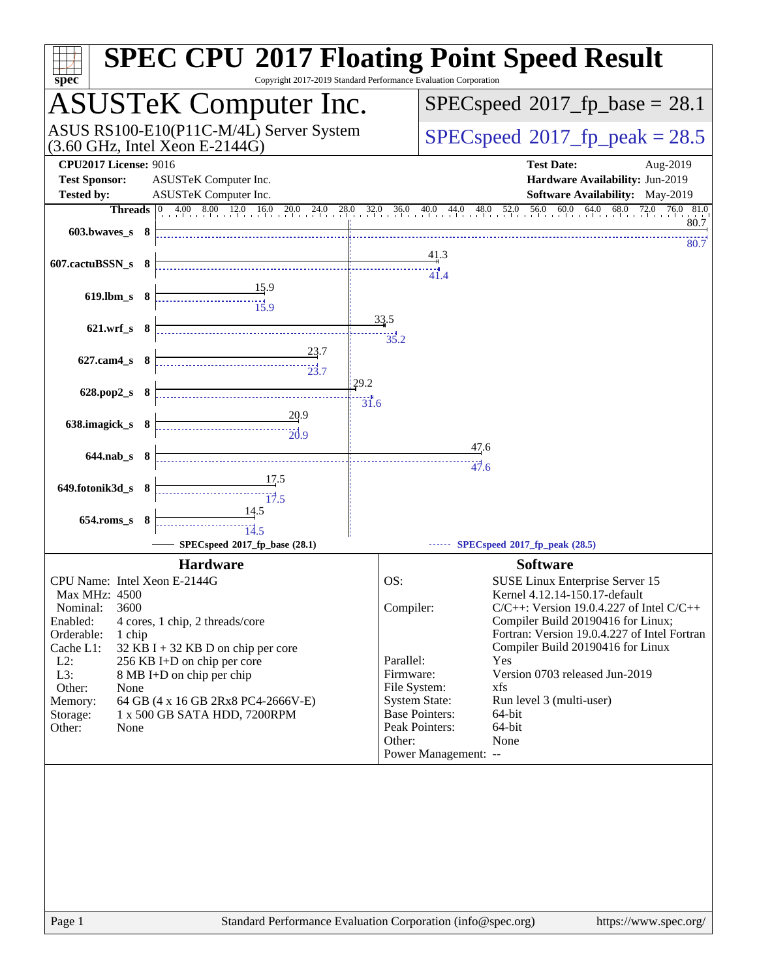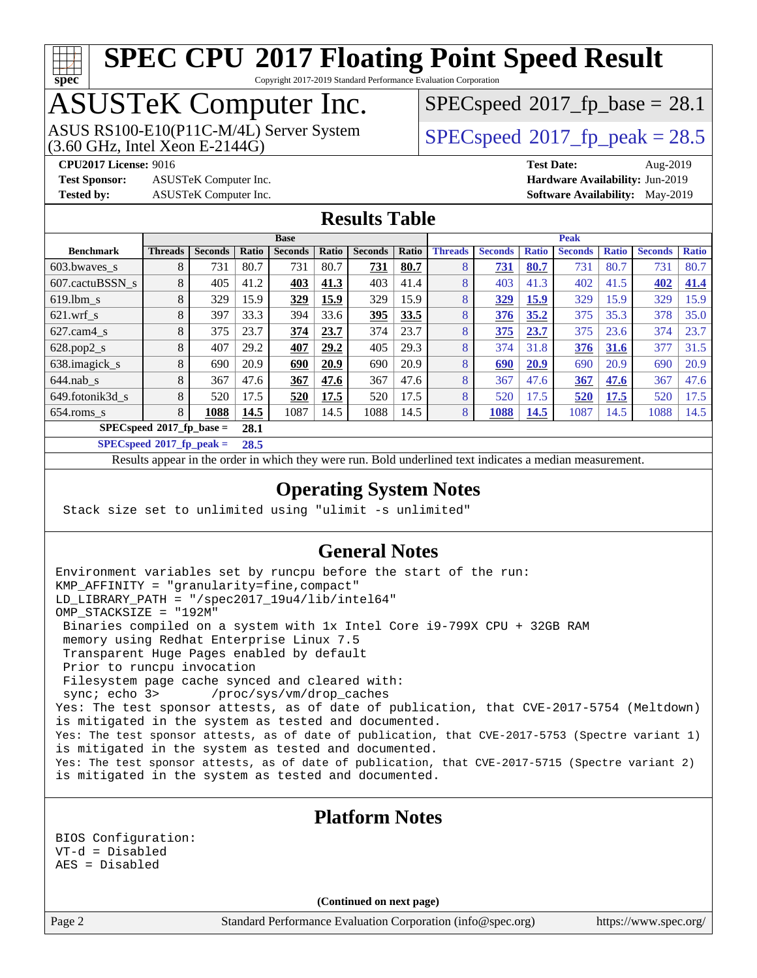# **[spec](http://www.spec.org/)**

# **[SPEC CPU](http://www.spec.org/auto/cpu2017/Docs/result-fields.html#SPECCPU2017FloatingPointSpeedResult)[2017 Floating Point Speed Result](http://www.spec.org/auto/cpu2017/Docs/result-fields.html#SPECCPU2017FloatingPointSpeedResult)**

Copyright 2017-2019 Standard Performance Evaluation Corporation

## ASUSTeK Computer Inc.

(3.60 GHz, Intel Xeon E-2144G) ASUS RS100-E10(P11C-M/4L) Server System  $SPECspeed@2017$  $SPECspeed@2017$  fp\_peak = 28.5

 $SPECspeed^{\circledcirc}2017$  $SPECspeed^{\circledcirc}2017$  fp base = 28.1

**[Test Sponsor:](http://www.spec.org/auto/cpu2017/Docs/result-fields.html#TestSponsor)** ASUSTeK Computer Inc. **[Hardware Availability:](http://www.spec.org/auto/cpu2017/Docs/result-fields.html#HardwareAvailability)** Jun-2019

**[CPU2017 License:](http://www.spec.org/auto/cpu2017/Docs/result-fields.html#CPU2017License)** 9016 **[Test Date:](http://www.spec.org/auto/cpu2017/Docs/result-fields.html#TestDate)** Aug-2019 **[Tested by:](http://www.spec.org/auto/cpu2017/Docs/result-fields.html#Testedby)** ASUSTeK Computer Inc. **[Software Availability:](http://www.spec.org/auto/cpu2017/Docs/result-fields.html#SoftwareAvailability)** May-2019

#### **[Results Table](http://www.spec.org/auto/cpu2017/Docs/result-fields.html#ResultsTable)**

|                                   | <b>Base</b>    |                |       |                |       |                | <b>Peak</b> |                |                |              |                |              |                |              |
|-----------------------------------|----------------|----------------|-------|----------------|-------|----------------|-------------|----------------|----------------|--------------|----------------|--------------|----------------|--------------|
| <b>Benchmark</b>                  | <b>Threads</b> | <b>Seconds</b> | Ratio | <b>Seconds</b> | Ratio | <b>Seconds</b> | Ratio       | <b>Threads</b> | <b>Seconds</b> | <b>Ratio</b> | <b>Seconds</b> | <b>Ratio</b> | <b>Seconds</b> | <b>Ratio</b> |
| $603.bwaves$ s                    | 8              | 731            | 80.7  | 731            | 80.7  | 731            | 80.7        | 8              | 731            | 80.7         | 731            | 80.7         | 731            | 80.7         |
| 607.cactuBSSN s                   | 8              | 405            | 41.2  | 403            | 41.3  | 403            | 41.4        | 8              | 403            | 41.3         | 402            | 41.5         | 402            | 41.4         |
| $619$ .lbm s                      | 8              | 329            | 15.9  | 329            | 15.9  | 329            | 15.9        | 8              | 329            | 15.9         | 329            | 15.9         | 329            | 15.9         |
| $621.wrf$ s                       | 8              | 397            | 33.3  | 394            | 33.6  | 395            | 33.5        | 8              | 376            | 35.2         | 375            | 35.3         | 378            | 35.0         |
| $627$ .cam $4 \text{ s}$          | 8              | 375            | 23.7  | 374            | 23.7  | 374            | 23.7        | 8              | 375            | 23.7         | 375            | 23.6         | 374            | 23.7         |
| $628.pop2_s$                      | 8              | 407            | 29.2  | 407            | 29.2  | 405            | 29.3        | 8              | 374            | 31.8         | 376            | 31.6         | 377            | 31.5         |
| 638.imagick_s                     | 8              | 690            | 20.9  | 690            | 20.9  | 690            | 20.9        | 8              | 690            | 20.9         | 690            | 20.9         | 690            | 20.9         |
| $644$ .nab s                      | 8              | 367            | 47.6  | 367            | 47.6  | 367            | 47.6        | 8              | 367            | 47.6         | 367            | 47.6         | 367            | 47.6         |
| 649.fotonik3d s                   | 8              | 520            | 17.5  | 520            | 17.5  | 520            | 17.5        | 8              | 520            | 17.5         | 520            | 17.5         | 520            | 17.5         |
| $654$ .roms s                     | 8              | 1088           | 14.5  | 1087           | 14.5  | 1088           | 14.5        | 8              | 1088           | 14.5         | 1087           | 14.5         | 1088           | 14.5         |
| $SPECspeed^{\circ}2017$ fp base = |                |                | 28.1  |                |       |                |             |                |                |              |                |              |                |              |

**[SPECspeed](http://www.spec.org/auto/cpu2017/Docs/result-fields.html#SPECspeed2017fppeak)[2017\\_fp\\_peak =](http://www.spec.org/auto/cpu2017/Docs/result-fields.html#SPECspeed2017fppeak) 28.5**

Results appear in the [order in which they were run.](http://www.spec.org/auto/cpu2017/Docs/result-fields.html#RunOrder) Bold underlined text [indicates a median measurement.](http://www.spec.org/auto/cpu2017/Docs/result-fields.html#Median)

#### **[Operating System Notes](http://www.spec.org/auto/cpu2017/Docs/result-fields.html#OperatingSystemNotes)**

Stack size set to unlimited using "ulimit -s unlimited"

#### **[General Notes](http://www.spec.org/auto/cpu2017/Docs/result-fields.html#GeneralNotes)**

Environment variables set by runcpu before the start of the run: KMP\_AFFINITY = "granularity=fine,compact" LD\_LIBRARY\_PATH = "/spec2017\_19u4/lib/intel64" OMP\_STACKSIZE = "192M" Binaries compiled on a system with 1x Intel Core i9-799X CPU + 32GB RAM memory using Redhat Enterprise Linux 7.5 Transparent Huge Pages enabled by default Prior to runcpu invocation Filesystem page cache synced and cleared with: sync; echo 3> /proc/sys/vm/drop\_caches Yes: The test sponsor attests, as of date of publication, that CVE-2017-5754 (Meltdown) is mitigated in the system as tested and documented. Yes: The test sponsor attests, as of date of publication, that CVE-2017-5753 (Spectre variant 1) is mitigated in the system as tested and documented. Yes: The test sponsor attests, as of date of publication, that CVE-2017-5715 (Spectre variant 2) is mitigated in the system as tested and documented.

#### BIOS Configuration: VT-d = Disabled AES = Disabled

**(Continued on next page)**

**[Platform Notes](http://www.spec.org/auto/cpu2017/Docs/result-fields.html#PlatformNotes)**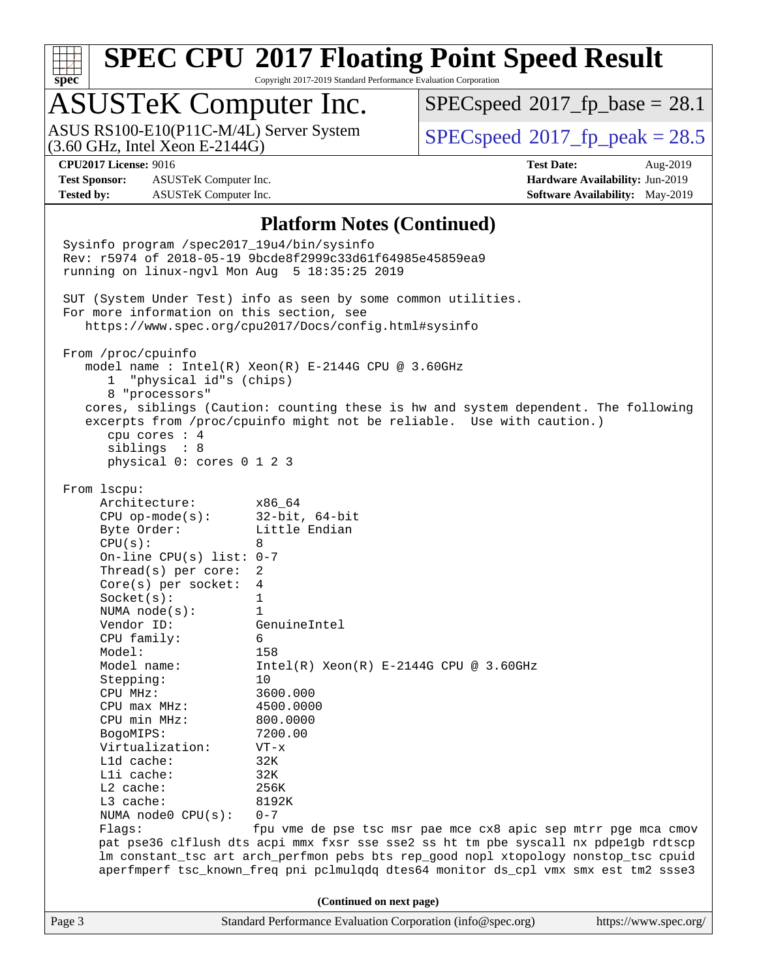

Copyright 2017-2019 Standard Performance Evaluation Corporation

## ASUSTeK Computer Inc.

(3.60 GHz, Intel Xeon E-2144G) ASUS RS100-E10(P11C-M/4L) Server System  $SPECspeed@2017$  $SPECspeed@2017$  fp\_peak = 28.5

 $SPECspeed^{\circledcirc}2017\_fp\_base = 28.1$  $SPECspeed^{\circledcirc}2017\_fp\_base = 28.1$ 

**[Test Sponsor:](http://www.spec.org/auto/cpu2017/Docs/result-fields.html#TestSponsor)** ASUSTeK Computer Inc. **[Hardware Availability:](http://www.spec.org/auto/cpu2017/Docs/result-fields.html#HardwareAvailability)** Jun-2019 **[Tested by:](http://www.spec.org/auto/cpu2017/Docs/result-fields.html#Testedby)** ASUSTeK Computer Inc. **[Software Availability:](http://www.spec.org/auto/cpu2017/Docs/result-fields.html#SoftwareAvailability)** May-2019

**[CPU2017 License:](http://www.spec.org/auto/cpu2017/Docs/result-fields.html#CPU2017License)** 9016 **[Test Date:](http://www.spec.org/auto/cpu2017/Docs/result-fields.html#TestDate)** Aug-2019

#### **[Platform Notes \(Continued\)](http://www.spec.org/auto/cpu2017/Docs/result-fields.html#PlatformNotes)**

Page 3 Standard Performance Evaluation Corporation [\(info@spec.org\)](mailto:info@spec.org) <https://www.spec.org/> Sysinfo program /spec2017\_19u4/bin/sysinfo Rev: r5974 of 2018-05-19 9bcde8f2999c33d61f64985e45859ea9 running on linux-ngvl Mon Aug 5 18:35:25 2019 SUT (System Under Test) info as seen by some common utilities. For more information on this section, see <https://www.spec.org/cpu2017/Docs/config.html#sysinfo> From /proc/cpuinfo model name : Intel(R) Xeon(R) E-2144G CPU @ 3.60GHz 1 "physical id"s (chips) 8 "processors" cores, siblings (Caution: counting these is hw and system dependent. The following excerpts from /proc/cpuinfo might not be reliable. Use with caution.) cpu cores : 4 siblings : 8 physical 0: cores 0 1 2 3 From lscpu: Architecture: x86\_64 CPU op-mode(s): 32-bit, 64-bit Byte Order: Little Endian  $CPU(s):$  8 On-line CPU(s) list: 0-7 Thread(s) per core: 2 Core(s) per socket: 4 Socket(s): 1 NUMA node(s): 1 Vendor ID: GenuineIntel CPU family: 6 Model: 158 Model name: Intel(R) Xeon(R) E-2144G CPU @ 3.60GHz Stepping: 10 CPU MHz: 3600.000 CPU max MHz: 4500.0000 CPU min MHz: 800.0000 BogoMIPS: 7200.00 Virtualization: VT-x L1d cache: 32K L1i cache: 32K L2 cache: 256K L3 cache: 8192K NUMA node0 CPU(s): 0-7 Flags: fpu vme de pse tsc msr pae mce cx8 apic sep mtrr pge mca cmov pat pse36 clflush dts acpi mmx fxsr sse sse2 ss ht tm pbe syscall nx pdpe1gb rdtscp lm constant\_tsc art arch\_perfmon pebs bts rep\_good nopl xtopology nonstop\_tsc cpuid aperfmperf tsc\_known\_freq pni pclmulqdq dtes64 monitor ds\_cpl vmx smx est tm2 ssse3 **(Continued on next page)**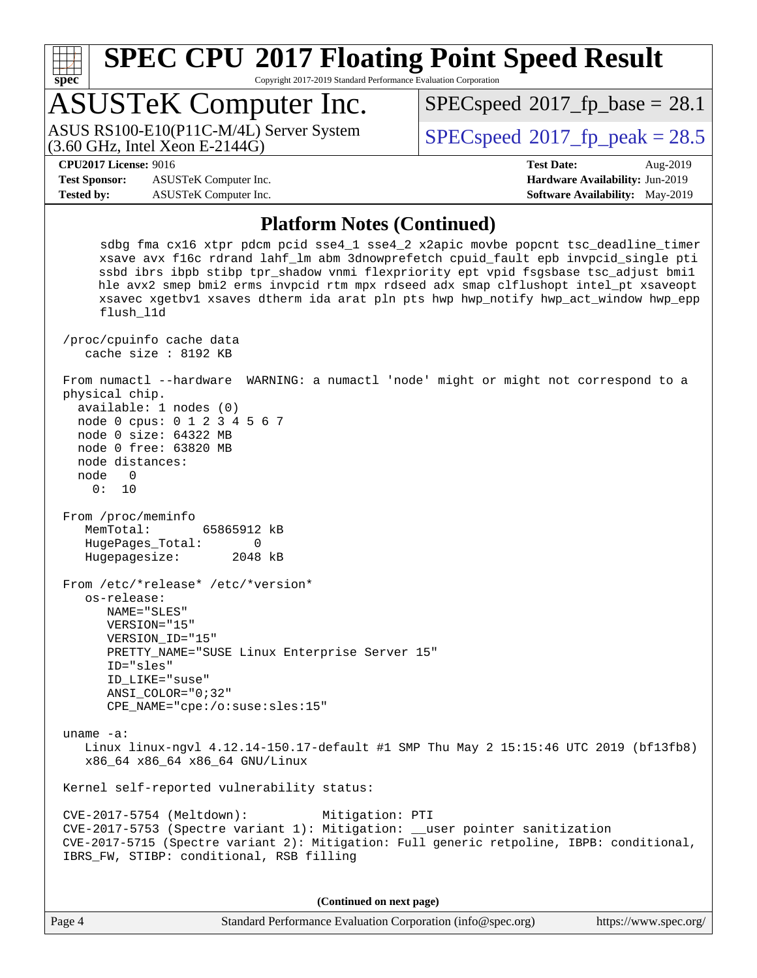

Copyright 2017-2019 Standard Performance Evaluation Corporation

## ASUSTeK Computer Inc.

(3.60 GHz, Intel Xeon E-2144G) ASUS RS100-E10(P11C-M/4L) Server System  $SPECspeed@2017$  $SPECspeed@2017$  fp\_peak = 28.5

 $SPECspeed^{\circledcirc}2017$  $SPECspeed^{\circledcirc}2017$  fp base = 28.1

**[Test Sponsor:](http://www.spec.org/auto/cpu2017/Docs/result-fields.html#TestSponsor)** ASUSTeK Computer Inc. **[Hardware Availability:](http://www.spec.org/auto/cpu2017/Docs/result-fields.html#HardwareAvailability)** Jun-2019 **[Tested by:](http://www.spec.org/auto/cpu2017/Docs/result-fields.html#Testedby)** ASUSTeK Computer Inc. **[Software Availability:](http://www.spec.org/auto/cpu2017/Docs/result-fields.html#SoftwareAvailability)** May-2019

**[CPU2017 License:](http://www.spec.org/auto/cpu2017/Docs/result-fields.html#CPU2017License)** 9016 **[Test Date:](http://www.spec.org/auto/cpu2017/Docs/result-fields.html#TestDate)** Aug-2019

#### **[Platform Notes \(Continued\)](http://www.spec.org/auto/cpu2017/Docs/result-fields.html#PlatformNotes)**

 sdbg fma cx16 xtpr pdcm pcid sse4\_1 sse4\_2 x2apic movbe popcnt tsc\_deadline\_timer xsave avx f16c rdrand lahf\_lm abm 3dnowprefetch cpuid\_fault epb invpcid\_single pti ssbd ibrs ibpb stibp tpr\_shadow vnmi flexpriority ept vpid fsgsbase tsc\_adjust bmi1 hle avx2 smep bmi2 erms invpcid rtm mpx rdseed adx smap clflushopt intel\_pt xsaveopt xsavec xgetbv1 xsaves dtherm ida arat pln pts hwp hwp\_notify hwp\_act\_window hwp\_epp flush\_l1d /proc/cpuinfo cache data cache size : 8192 KB From numactl --hardware WARNING: a numactl 'node' might or might not correspond to a physical chip. available: 1 nodes (0) node 0 cpus: 0 1 2 3 4 5 6 7 node 0 size: 64322 MB node 0 free: 63820 MB node distances: node 0 0: 10 From /proc/meminfo MemTotal: 65865912 kB HugePages\_Total: 0 Hugepagesize: 2048 kB From /etc/\*release\* /etc/\*version\* os-release: NAME="SLES" VERSION="15" VERSION\_ID="15" PRETTY\_NAME="SUSE Linux Enterprise Server 15" ID="sles" ID\_LIKE="suse" ANSI\_COLOR="0;32" CPE\_NAME="cpe:/o:suse:sles:15" uname -a: Linux linux-ngvl 4.12.14-150.17-default #1 SMP Thu May 2 15:15:46 UTC 2019 (bf13fb8) x86\_64 x86\_64 x86\_64 GNU/Linux Kernel self-reported vulnerability status: CVE-2017-5754 (Meltdown): Mitigation: PTI

 CVE-2017-5753 (Spectre variant 1): Mitigation: \_\_user pointer sanitization CVE-2017-5715 (Spectre variant 2): Mitigation: Full generic retpoline, IBPB: conditional, IBRS\_FW, STIBP: conditional, RSB filling

**(Continued on next page)**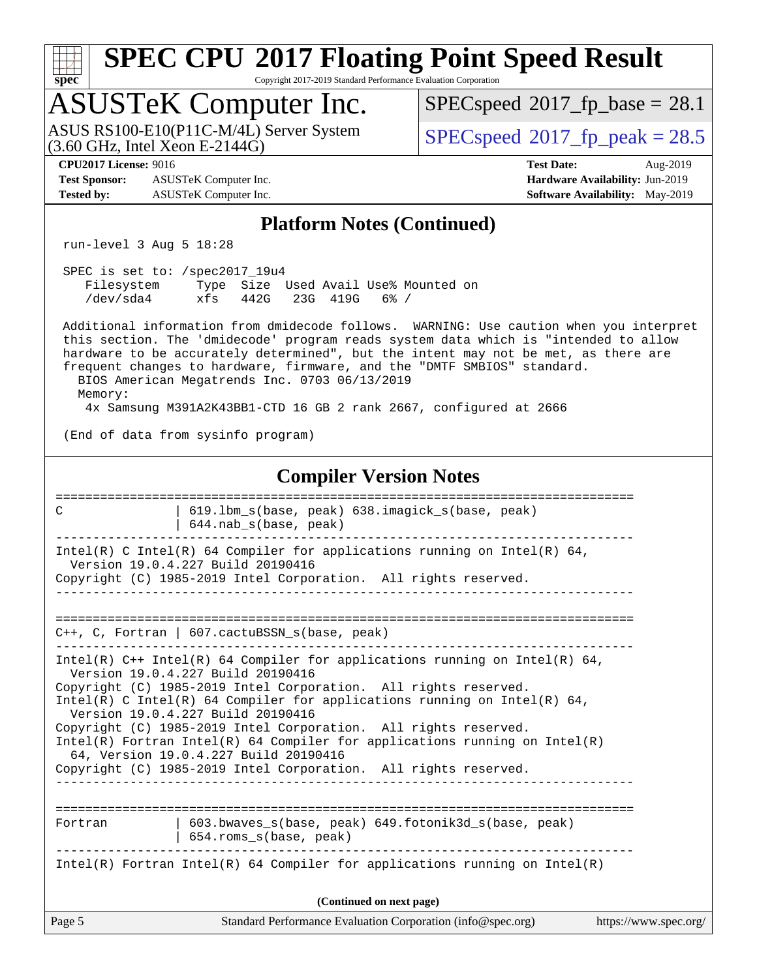# **[spec](http://www.spec.org/)**

## **[SPEC CPU](http://www.spec.org/auto/cpu2017/Docs/result-fields.html#SPECCPU2017FloatingPointSpeedResult)[2017 Floating Point Speed Result](http://www.spec.org/auto/cpu2017/Docs/result-fields.html#SPECCPU2017FloatingPointSpeedResult)**

Copyright 2017-2019 Standard Performance Evaluation Corporation

### ASUSTeK Computer Inc.

 $(3.60$  GHz, Intel Xeon E-2144G) ASUS RS100-E10(P11C-M/4L) Server System  $\sqrt{\text{SPECspeed}}$  $\sqrt{\text{SPECspeed}}$  $\sqrt{\text{SPECspeed}}$  2017 fp\_peak = 28.5

 $SPECspeed@2017_fp\_base = 28.1$  $SPECspeed@2017_fp\_base = 28.1$ 

**[Test Sponsor:](http://www.spec.org/auto/cpu2017/Docs/result-fields.html#TestSponsor)** ASUSTeK Computer Inc. **[Hardware Availability:](http://www.spec.org/auto/cpu2017/Docs/result-fields.html#HardwareAvailability)** Jun-2019 **[Tested by:](http://www.spec.org/auto/cpu2017/Docs/result-fields.html#Testedby)** ASUSTeK Computer Inc. **[Software Availability:](http://www.spec.org/auto/cpu2017/Docs/result-fields.html#SoftwareAvailability)** May-2019

**[CPU2017 License:](http://www.spec.org/auto/cpu2017/Docs/result-fields.html#CPU2017License)** 9016 **[Test Date:](http://www.spec.org/auto/cpu2017/Docs/result-fields.html#TestDate)** Aug-2019

#### **[Platform Notes \(Continued\)](http://www.spec.org/auto/cpu2017/Docs/result-fields.html#PlatformNotes)**

run-level 3 Aug 5 18:28

| SPEC is set to: /spec2017 19u4 |     |  |                   |                                      |  |
|--------------------------------|-----|--|-------------------|--------------------------------------|--|
| Filesystem                     |     |  |                   | Type Size Used Avail Use% Mounted on |  |
| /dev/sda4                      | xfs |  | 442G 23G 419G 6%/ |                                      |  |

 Additional information from dmidecode follows. WARNING: Use caution when you interpret this section. The 'dmidecode' program reads system data which is "intended to allow hardware to be accurately determined", but the intent may not be met, as there are frequent changes to hardware, firmware, and the "DMTF SMBIOS" standard. BIOS American Megatrends Inc. 0703 06/13/2019 Memory:

4x Samsung M391A2K43BB1-CTD 16 GB 2 rank 2667, configured at 2666

(End of data from sysinfo program)

#### **[Compiler Version Notes](http://www.spec.org/auto/cpu2017/Docs/result-fields.html#CompilerVersionNotes)**

| 619.1bm_s(base, peak) 638.imagick_s(base, peak)<br>C<br>$644.nab_s(base, peak)$                                                                                                                                                                                                                                                                                                                                                                                                                                                                                      |  |  |  |  |  |  |  |
|----------------------------------------------------------------------------------------------------------------------------------------------------------------------------------------------------------------------------------------------------------------------------------------------------------------------------------------------------------------------------------------------------------------------------------------------------------------------------------------------------------------------------------------------------------------------|--|--|--|--|--|--|--|
| Intel(R) C Intel(R) 64 Compiler for applications running on Intel(R) 64,<br>Version 19.0.4.227 Build 20190416<br>Copyright (C) 1985-2019 Intel Corporation. All rights reserved.                                                                                                                                                                                                                                                                                                                                                                                     |  |  |  |  |  |  |  |
| ___________________________________<br>C++, C, Fortran   607.cactuBSSN_s(base, peak)                                                                                                                                                                                                                                                                                                                                                                                                                                                                                 |  |  |  |  |  |  |  |
| $Intel(R)$ C++ Intel(R) 64 Compiler for applications running on Intel(R) 64,<br>Version 19.0.4.227 Build 20190416<br>Copyright (C) 1985-2019 Intel Corporation. All rights reserved.<br>Intel(R) C Intel(R) 64 Compiler for applications running on Intel(R) 64,<br>Version 19.0.4.227 Build 20190416<br>Copyright (C) 1985-2019 Intel Corporation. All rights reserved.<br>$Intel(R)$ Fortran Intel(R) 64 Compiler for applications running on Intel(R)<br>64, Version 19.0.4.227 Build 20190416<br>Copyright (C) 1985-2019 Intel Corporation. All rights reserved. |  |  |  |  |  |  |  |
| $603.bwaves$ s(base, peak) $649.fotonik3d$ s(base, peak)<br>Fortran<br>654.roms_s(base, peak)<br>Intel(R) Fortran Intel(R) 64 Compiler for applications running on Intel(R)                                                                                                                                                                                                                                                                                                                                                                                          |  |  |  |  |  |  |  |
| (Continued on next page)                                                                                                                                                                                                                                                                                                                                                                                                                                                                                                                                             |  |  |  |  |  |  |  |
| Page 5<br>Standard Performance Evaluation Corporation (info@spec.org)<br>https://www.spec.org/                                                                                                                                                                                                                                                                                                                                                                                                                                                                       |  |  |  |  |  |  |  |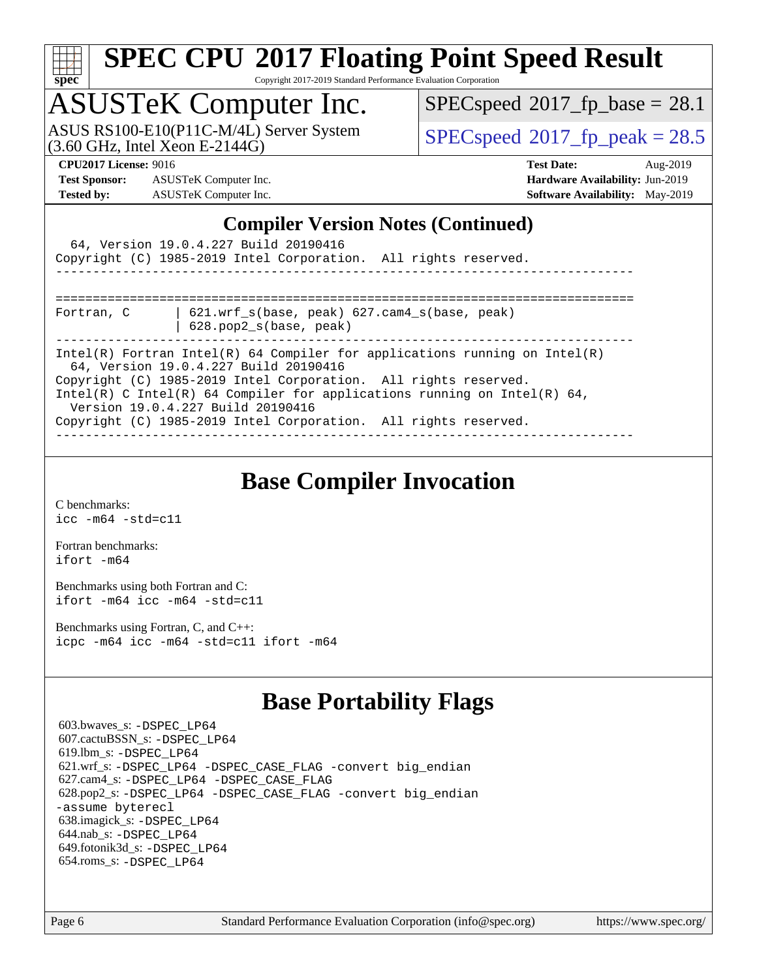

Copyright 2017-2019 Standard Performance Evaluation Corporation

## ASUSTeK Computer Inc.

 $(3.60$  GHz, Intel Xeon E-2144G) ASUS RS100-E10(P11C-M/4L) Server System  $SPECspeed@2017$  $SPECspeed@2017$  fp\_peak = 28.5

 $SPECspeed^{\circledcirc}2017$  $SPECspeed^{\circledcirc}2017$  fp base = 28.1

**[Test Sponsor:](http://www.spec.org/auto/cpu2017/Docs/result-fields.html#TestSponsor)** ASUSTeK Computer Inc. **[Hardware Availability:](http://www.spec.org/auto/cpu2017/Docs/result-fields.html#HardwareAvailability)** Jun-2019 **[Tested by:](http://www.spec.org/auto/cpu2017/Docs/result-fields.html#Testedby)** ASUSTeK Computer Inc. **[Software Availability:](http://www.spec.org/auto/cpu2017/Docs/result-fields.html#SoftwareAvailability)** May-2019

**[CPU2017 License:](http://www.spec.org/auto/cpu2017/Docs/result-fields.html#CPU2017License)** 9016 **[Test Date:](http://www.spec.org/auto/cpu2017/Docs/result-fields.html#TestDate)** Aug-2019

#### **[Compiler Version Notes \(Continued\)](http://www.spec.org/auto/cpu2017/Docs/result-fields.html#CompilerVersionNotes)**

|                                                                                                               | 64, Version 19.0.4.227 Build 20190416<br>Copyright (C) 1985-2019 Intel Corporation. All rights reserved. |                                                                            |  |  |  |  |  |
|---------------------------------------------------------------------------------------------------------------|----------------------------------------------------------------------------------------------------------|----------------------------------------------------------------------------|--|--|--|--|--|
|                                                                                                               |                                                                                                          |                                                                            |  |  |  |  |  |
| Fortran, C                                                                                                    | $621.$ wrf $s(base, peak)$ $627.$ cam4 $s(base, peak)$<br>$628.$ pop $2_s(base, peak)$                   |                                                                            |  |  |  |  |  |
|                                                                                                               | 64, Version 19.0.4.227 Build 20190416                                                                    | Intel(R) Fortran Intel(R) 64 Compiler for applications running on Intel(R) |  |  |  |  |  |
|                                                                                                               | Copyright (C) 1985-2019 Intel Corporation. All rights reserved.                                          |                                                                            |  |  |  |  |  |
| Intel(R) C Intel(R) 64 Compiler for applications running on Intel(R) 64,<br>Version 19.0.4.227 Build 20190416 |                                                                                                          |                                                                            |  |  |  |  |  |
|                                                                                                               | Copyright (C) 1985-2019 Intel Corporation. All rights reserved.                                          |                                                                            |  |  |  |  |  |

### **[Base Compiler Invocation](http://www.spec.org/auto/cpu2017/Docs/result-fields.html#BaseCompilerInvocation)**

[C benchmarks](http://www.spec.org/auto/cpu2017/Docs/result-fields.html#Cbenchmarks): [icc -m64 -std=c11](http://www.spec.org/cpu2017/results/res2019q3/cpu2017-20190826-17250.flags.html#user_CCbase_intel_icc_64bit_c11_33ee0cdaae7deeeab2a9725423ba97205ce30f63b9926c2519791662299b76a0318f32ddfffdc46587804de3178b4f9328c46fa7c2b0cd779d7a61945c91cd35)

[Fortran benchmarks](http://www.spec.org/auto/cpu2017/Docs/result-fields.html#Fortranbenchmarks): [ifort -m64](http://www.spec.org/cpu2017/results/res2019q3/cpu2017-20190826-17250.flags.html#user_FCbase_intel_ifort_64bit_24f2bb282fbaeffd6157abe4f878425411749daecae9a33200eee2bee2fe76f3b89351d69a8130dd5949958ce389cf37ff59a95e7a40d588e8d3a57e0c3fd751)

[Benchmarks using both Fortran and C](http://www.spec.org/auto/cpu2017/Docs/result-fields.html#BenchmarksusingbothFortranandC): [ifort -m64](http://www.spec.org/cpu2017/results/res2019q3/cpu2017-20190826-17250.flags.html#user_CC_FCbase_intel_ifort_64bit_24f2bb282fbaeffd6157abe4f878425411749daecae9a33200eee2bee2fe76f3b89351d69a8130dd5949958ce389cf37ff59a95e7a40d588e8d3a57e0c3fd751) [icc -m64 -std=c11](http://www.spec.org/cpu2017/results/res2019q3/cpu2017-20190826-17250.flags.html#user_CC_FCbase_intel_icc_64bit_c11_33ee0cdaae7deeeab2a9725423ba97205ce30f63b9926c2519791662299b76a0318f32ddfffdc46587804de3178b4f9328c46fa7c2b0cd779d7a61945c91cd35)

[Benchmarks using Fortran, C, and C++:](http://www.spec.org/auto/cpu2017/Docs/result-fields.html#BenchmarksusingFortranCandCXX) [icpc -m64](http://www.spec.org/cpu2017/results/res2019q3/cpu2017-20190826-17250.flags.html#user_CC_CXX_FCbase_intel_icpc_64bit_4ecb2543ae3f1412ef961e0650ca070fec7b7afdcd6ed48761b84423119d1bf6bdf5cad15b44d48e7256388bc77273b966e5eb805aefd121eb22e9299b2ec9d9) [icc -m64 -std=c11](http://www.spec.org/cpu2017/results/res2019q3/cpu2017-20190826-17250.flags.html#user_CC_CXX_FCbase_intel_icc_64bit_c11_33ee0cdaae7deeeab2a9725423ba97205ce30f63b9926c2519791662299b76a0318f32ddfffdc46587804de3178b4f9328c46fa7c2b0cd779d7a61945c91cd35) [ifort -m64](http://www.spec.org/cpu2017/results/res2019q3/cpu2017-20190826-17250.flags.html#user_CC_CXX_FCbase_intel_ifort_64bit_24f2bb282fbaeffd6157abe4f878425411749daecae9a33200eee2bee2fe76f3b89351d69a8130dd5949958ce389cf37ff59a95e7a40d588e8d3a57e0c3fd751)

### **[Base Portability Flags](http://www.spec.org/auto/cpu2017/Docs/result-fields.html#BasePortabilityFlags)**

 603.bwaves\_s: [-DSPEC\\_LP64](http://www.spec.org/cpu2017/results/res2019q3/cpu2017-20190826-17250.flags.html#suite_basePORTABILITY603_bwaves_s_DSPEC_LP64) 607.cactuBSSN\_s: [-DSPEC\\_LP64](http://www.spec.org/cpu2017/results/res2019q3/cpu2017-20190826-17250.flags.html#suite_basePORTABILITY607_cactuBSSN_s_DSPEC_LP64) 619.lbm\_s: [-DSPEC\\_LP64](http://www.spec.org/cpu2017/results/res2019q3/cpu2017-20190826-17250.flags.html#suite_basePORTABILITY619_lbm_s_DSPEC_LP64) 621.wrf\_s: [-DSPEC\\_LP64](http://www.spec.org/cpu2017/results/res2019q3/cpu2017-20190826-17250.flags.html#suite_basePORTABILITY621_wrf_s_DSPEC_LP64) [-DSPEC\\_CASE\\_FLAG](http://www.spec.org/cpu2017/results/res2019q3/cpu2017-20190826-17250.flags.html#b621.wrf_s_baseCPORTABILITY_DSPEC_CASE_FLAG) [-convert big\\_endian](http://www.spec.org/cpu2017/results/res2019q3/cpu2017-20190826-17250.flags.html#user_baseFPORTABILITY621_wrf_s_convert_big_endian_c3194028bc08c63ac5d04de18c48ce6d347e4e562e8892b8bdbdc0214820426deb8554edfa529a3fb25a586e65a3d812c835984020483e7e73212c4d31a38223) 627.cam4\_s: [-DSPEC\\_LP64](http://www.spec.org/cpu2017/results/res2019q3/cpu2017-20190826-17250.flags.html#suite_basePORTABILITY627_cam4_s_DSPEC_LP64) [-DSPEC\\_CASE\\_FLAG](http://www.spec.org/cpu2017/results/res2019q3/cpu2017-20190826-17250.flags.html#b627.cam4_s_baseCPORTABILITY_DSPEC_CASE_FLAG) 628.pop2\_s: [-DSPEC\\_LP64](http://www.spec.org/cpu2017/results/res2019q3/cpu2017-20190826-17250.flags.html#suite_basePORTABILITY628_pop2_s_DSPEC_LP64) [-DSPEC\\_CASE\\_FLAG](http://www.spec.org/cpu2017/results/res2019q3/cpu2017-20190826-17250.flags.html#b628.pop2_s_baseCPORTABILITY_DSPEC_CASE_FLAG) [-convert big\\_endian](http://www.spec.org/cpu2017/results/res2019q3/cpu2017-20190826-17250.flags.html#user_baseFPORTABILITY628_pop2_s_convert_big_endian_c3194028bc08c63ac5d04de18c48ce6d347e4e562e8892b8bdbdc0214820426deb8554edfa529a3fb25a586e65a3d812c835984020483e7e73212c4d31a38223) [-assume byterecl](http://www.spec.org/cpu2017/results/res2019q3/cpu2017-20190826-17250.flags.html#user_baseFPORTABILITY628_pop2_s_assume_byterecl_7e47d18b9513cf18525430bbf0f2177aa9bf368bc7a059c09b2c06a34b53bd3447c950d3f8d6c70e3faf3a05c8557d66a5798b567902e8849adc142926523472) 638.imagick\_s: [-DSPEC\\_LP64](http://www.spec.org/cpu2017/results/res2019q3/cpu2017-20190826-17250.flags.html#suite_basePORTABILITY638_imagick_s_DSPEC_LP64) 644.nab\_s: [-DSPEC\\_LP64](http://www.spec.org/cpu2017/results/res2019q3/cpu2017-20190826-17250.flags.html#suite_basePORTABILITY644_nab_s_DSPEC_LP64) 649.fotonik3d\_s: [-DSPEC\\_LP64](http://www.spec.org/cpu2017/results/res2019q3/cpu2017-20190826-17250.flags.html#suite_basePORTABILITY649_fotonik3d_s_DSPEC_LP64) 654.roms\_s: [-DSPEC\\_LP64](http://www.spec.org/cpu2017/results/res2019q3/cpu2017-20190826-17250.flags.html#suite_basePORTABILITY654_roms_s_DSPEC_LP64)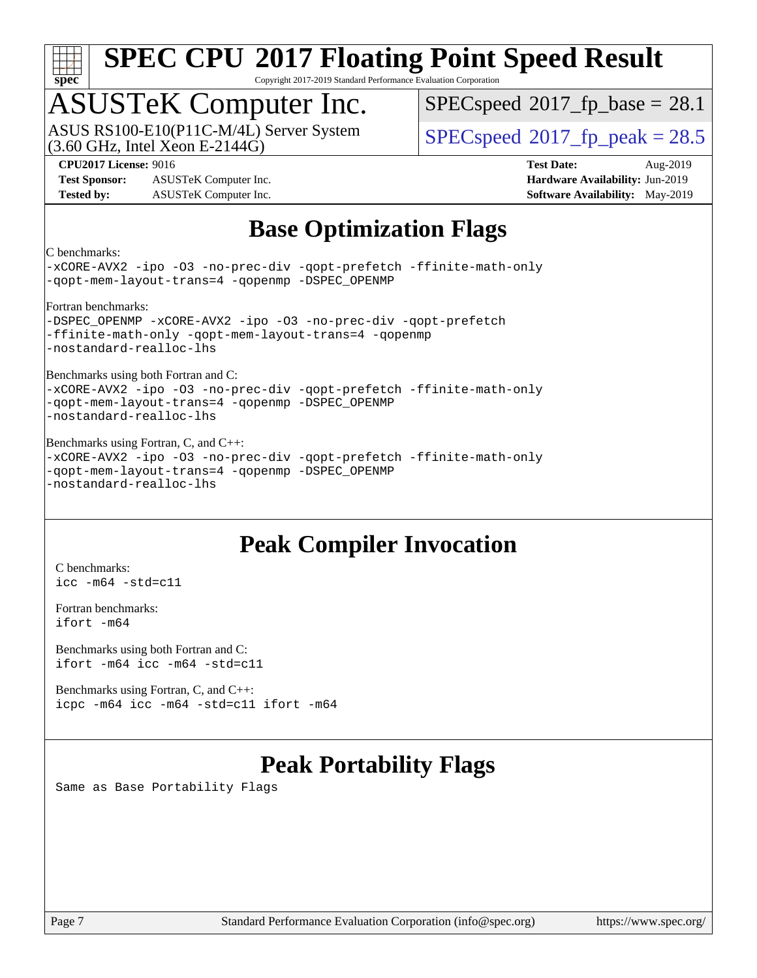

Copyright 2017-2019 Standard Performance Evaluation Corporation

## ASUSTeK Computer Inc.

(3.60 GHz, Intel Xeon E-2144G) ASUS RS100-E10(P11C-M/4L) Server System  $SPECspeed@2017$  $SPECspeed@2017$  fp\_peak = 28.5

 $SPECspeed^{\circledcirc}2017\_fp\_base = 28.1$  $SPECspeed^{\circledcirc}2017\_fp\_base = 28.1$ 

**[Test Sponsor:](http://www.spec.org/auto/cpu2017/Docs/result-fields.html#TestSponsor)** ASUSTeK Computer Inc. **[Hardware Availability:](http://www.spec.org/auto/cpu2017/Docs/result-fields.html#HardwareAvailability)** Jun-2019 **[Tested by:](http://www.spec.org/auto/cpu2017/Docs/result-fields.html#Testedby)** ASUSTeK Computer Inc. **[Software Availability:](http://www.spec.org/auto/cpu2017/Docs/result-fields.html#SoftwareAvailability)** May-2019

**[CPU2017 License:](http://www.spec.org/auto/cpu2017/Docs/result-fields.html#CPU2017License)** 9016 **[Test Date:](http://www.spec.org/auto/cpu2017/Docs/result-fields.html#TestDate)** Aug-2019

#### **[Base Optimization Flags](http://www.spec.org/auto/cpu2017/Docs/result-fields.html#BaseOptimizationFlags)**

[C benchmarks:](http://www.spec.org/auto/cpu2017/Docs/result-fields.html#Cbenchmarks)

[-xCORE-AVX2](http://www.spec.org/cpu2017/results/res2019q3/cpu2017-20190826-17250.flags.html#user_CCbase_f-xCORE-AVX2) [-ipo](http://www.spec.org/cpu2017/results/res2019q3/cpu2017-20190826-17250.flags.html#user_CCbase_f-ipo) [-O3](http://www.spec.org/cpu2017/results/res2019q3/cpu2017-20190826-17250.flags.html#user_CCbase_f-O3) [-no-prec-div](http://www.spec.org/cpu2017/results/res2019q3/cpu2017-20190826-17250.flags.html#user_CCbase_f-no-prec-div) [-qopt-prefetch](http://www.spec.org/cpu2017/results/res2019q3/cpu2017-20190826-17250.flags.html#user_CCbase_f-qopt-prefetch) [-ffinite-math-only](http://www.spec.org/cpu2017/results/res2019q3/cpu2017-20190826-17250.flags.html#user_CCbase_f_finite_math_only_cb91587bd2077682c4b38af759c288ed7c732db004271a9512da14a4f8007909a5f1427ecbf1a0fb78ff2a814402c6114ac565ca162485bbcae155b5e4258871) [-qopt-mem-layout-trans=4](http://www.spec.org/cpu2017/results/res2019q3/cpu2017-20190826-17250.flags.html#user_CCbase_f-qopt-mem-layout-trans_fa39e755916c150a61361b7846f310bcdf6f04e385ef281cadf3647acec3f0ae266d1a1d22d972a7087a248fd4e6ca390a3634700869573d231a252c784941a8) [-qopenmp](http://www.spec.org/cpu2017/results/res2019q3/cpu2017-20190826-17250.flags.html#user_CCbase_qopenmp_16be0c44f24f464004c6784a7acb94aca937f053568ce72f94b139a11c7c168634a55f6653758ddd83bcf7b8463e8028bb0b48b77bcddc6b78d5d95bb1df2967) [-DSPEC\\_OPENMP](http://www.spec.org/cpu2017/results/res2019q3/cpu2017-20190826-17250.flags.html#suite_CCbase_DSPEC_OPENMP) [Fortran benchmarks](http://www.spec.org/auto/cpu2017/Docs/result-fields.html#Fortranbenchmarks): -DSPEC OPENMP [-xCORE-AVX2](http://www.spec.org/cpu2017/results/res2019q3/cpu2017-20190826-17250.flags.html#user_FCbase_f-xCORE-AVX2) [-ipo](http://www.spec.org/cpu2017/results/res2019q3/cpu2017-20190826-17250.flags.html#user_FCbase_f-ipo) [-O3](http://www.spec.org/cpu2017/results/res2019q3/cpu2017-20190826-17250.flags.html#user_FCbase_f-O3) [-no-prec-div](http://www.spec.org/cpu2017/results/res2019q3/cpu2017-20190826-17250.flags.html#user_FCbase_f-no-prec-div) [-qopt-prefetch](http://www.spec.org/cpu2017/results/res2019q3/cpu2017-20190826-17250.flags.html#user_FCbase_f-qopt-prefetch) [-ffinite-math-only](http://www.spec.org/cpu2017/results/res2019q3/cpu2017-20190826-17250.flags.html#user_FCbase_f_finite_math_only_cb91587bd2077682c4b38af759c288ed7c732db004271a9512da14a4f8007909a5f1427ecbf1a0fb78ff2a814402c6114ac565ca162485bbcae155b5e4258871) [-qopt-mem-layout-trans=4](http://www.spec.org/cpu2017/results/res2019q3/cpu2017-20190826-17250.flags.html#user_FCbase_f-qopt-mem-layout-trans_fa39e755916c150a61361b7846f310bcdf6f04e385ef281cadf3647acec3f0ae266d1a1d22d972a7087a248fd4e6ca390a3634700869573d231a252c784941a8) [-qopenmp](http://www.spec.org/cpu2017/results/res2019q3/cpu2017-20190826-17250.flags.html#user_FCbase_qopenmp_16be0c44f24f464004c6784a7acb94aca937f053568ce72f94b139a11c7c168634a55f6653758ddd83bcf7b8463e8028bb0b48b77bcddc6b78d5d95bb1df2967) [-nostandard-realloc-lhs](http://www.spec.org/cpu2017/results/res2019q3/cpu2017-20190826-17250.flags.html#user_FCbase_f_2003_std_realloc_82b4557e90729c0f113870c07e44d33d6f5a304b4f63d4c15d2d0f1fab99f5daaed73bdb9275d9ae411527f28b936061aa8b9c8f2d63842963b95c9dd6426b8a) [Benchmarks using both Fortran and C:](http://www.spec.org/auto/cpu2017/Docs/result-fields.html#BenchmarksusingbothFortranandC) [-xCORE-AVX2](http://www.spec.org/cpu2017/results/res2019q3/cpu2017-20190826-17250.flags.html#user_CC_FCbase_f-xCORE-AVX2) [-ipo](http://www.spec.org/cpu2017/results/res2019q3/cpu2017-20190826-17250.flags.html#user_CC_FCbase_f-ipo) [-O3](http://www.spec.org/cpu2017/results/res2019q3/cpu2017-20190826-17250.flags.html#user_CC_FCbase_f-O3) [-no-prec-div](http://www.spec.org/cpu2017/results/res2019q3/cpu2017-20190826-17250.flags.html#user_CC_FCbase_f-no-prec-div) [-qopt-prefetch](http://www.spec.org/cpu2017/results/res2019q3/cpu2017-20190826-17250.flags.html#user_CC_FCbase_f-qopt-prefetch) [-ffinite-math-only](http://www.spec.org/cpu2017/results/res2019q3/cpu2017-20190826-17250.flags.html#user_CC_FCbase_f_finite_math_only_cb91587bd2077682c4b38af759c288ed7c732db004271a9512da14a4f8007909a5f1427ecbf1a0fb78ff2a814402c6114ac565ca162485bbcae155b5e4258871) [-qopt-mem-layout-trans=4](http://www.spec.org/cpu2017/results/res2019q3/cpu2017-20190826-17250.flags.html#user_CC_FCbase_f-qopt-mem-layout-trans_fa39e755916c150a61361b7846f310bcdf6f04e385ef281cadf3647acec3f0ae266d1a1d22d972a7087a248fd4e6ca390a3634700869573d231a252c784941a8) [-qopenmp](http://www.spec.org/cpu2017/results/res2019q3/cpu2017-20190826-17250.flags.html#user_CC_FCbase_qopenmp_16be0c44f24f464004c6784a7acb94aca937f053568ce72f94b139a11c7c168634a55f6653758ddd83bcf7b8463e8028bb0b48b77bcddc6b78d5d95bb1df2967) [-DSPEC\\_OPENMP](http://www.spec.org/cpu2017/results/res2019q3/cpu2017-20190826-17250.flags.html#suite_CC_FCbase_DSPEC_OPENMP) [-nostandard-realloc-lhs](http://www.spec.org/cpu2017/results/res2019q3/cpu2017-20190826-17250.flags.html#user_CC_FCbase_f_2003_std_realloc_82b4557e90729c0f113870c07e44d33d6f5a304b4f63d4c15d2d0f1fab99f5daaed73bdb9275d9ae411527f28b936061aa8b9c8f2d63842963b95c9dd6426b8a) [Benchmarks using Fortran, C, and C++:](http://www.spec.org/auto/cpu2017/Docs/result-fields.html#BenchmarksusingFortranCandCXX) [-xCORE-AVX2](http://www.spec.org/cpu2017/results/res2019q3/cpu2017-20190826-17250.flags.html#user_CC_CXX_FCbase_f-xCORE-AVX2) [-ipo](http://www.spec.org/cpu2017/results/res2019q3/cpu2017-20190826-17250.flags.html#user_CC_CXX_FCbase_f-ipo) [-O3](http://www.spec.org/cpu2017/results/res2019q3/cpu2017-20190826-17250.flags.html#user_CC_CXX_FCbase_f-O3) [-no-prec-div](http://www.spec.org/cpu2017/results/res2019q3/cpu2017-20190826-17250.flags.html#user_CC_CXX_FCbase_f-no-prec-div) [-qopt-prefetch](http://www.spec.org/cpu2017/results/res2019q3/cpu2017-20190826-17250.flags.html#user_CC_CXX_FCbase_f-qopt-prefetch) [-ffinite-math-only](http://www.spec.org/cpu2017/results/res2019q3/cpu2017-20190826-17250.flags.html#user_CC_CXX_FCbase_f_finite_math_only_cb91587bd2077682c4b38af759c288ed7c732db004271a9512da14a4f8007909a5f1427ecbf1a0fb78ff2a814402c6114ac565ca162485bbcae155b5e4258871) [-qopt-mem-layout-trans=4](http://www.spec.org/cpu2017/results/res2019q3/cpu2017-20190826-17250.flags.html#user_CC_CXX_FCbase_f-qopt-mem-layout-trans_fa39e755916c150a61361b7846f310bcdf6f04e385ef281cadf3647acec3f0ae266d1a1d22d972a7087a248fd4e6ca390a3634700869573d231a252c784941a8) [-qopenmp](http://www.spec.org/cpu2017/results/res2019q3/cpu2017-20190826-17250.flags.html#user_CC_CXX_FCbase_qopenmp_16be0c44f24f464004c6784a7acb94aca937f053568ce72f94b139a11c7c168634a55f6653758ddd83bcf7b8463e8028bb0b48b77bcddc6b78d5d95bb1df2967) [-DSPEC\\_OPENMP](http://www.spec.org/cpu2017/results/res2019q3/cpu2017-20190826-17250.flags.html#suite_CC_CXX_FCbase_DSPEC_OPENMP) [-nostandard-realloc-lhs](http://www.spec.org/cpu2017/results/res2019q3/cpu2017-20190826-17250.flags.html#user_CC_CXX_FCbase_f_2003_std_realloc_82b4557e90729c0f113870c07e44d33d6f5a304b4f63d4c15d2d0f1fab99f5daaed73bdb9275d9ae411527f28b936061aa8b9c8f2d63842963b95c9dd6426b8a)

### **[Peak Compiler Invocation](http://www.spec.org/auto/cpu2017/Docs/result-fields.html#PeakCompilerInvocation)**

[C benchmarks](http://www.spec.org/auto/cpu2017/Docs/result-fields.html#Cbenchmarks): [icc -m64 -std=c11](http://www.spec.org/cpu2017/results/res2019q3/cpu2017-20190826-17250.flags.html#user_CCpeak_intel_icc_64bit_c11_33ee0cdaae7deeeab2a9725423ba97205ce30f63b9926c2519791662299b76a0318f32ddfffdc46587804de3178b4f9328c46fa7c2b0cd779d7a61945c91cd35)

[Fortran benchmarks](http://www.spec.org/auto/cpu2017/Docs/result-fields.html#Fortranbenchmarks): [ifort -m64](http://www.spec.org/cpu2017/results/res2019q3/cpu2017-20190826-17250.flags.html#user_FCpeak_intel_ifort_64bit_24f2bb282fbaeffd6157abe4f878425411749daecae9a33200eee2bee2fe76f3b89351d69a8130dd5949958ce389cf37ff59a95e7a40d588e8d3a57e0c3fd751)

[Benchmarks using both Fortran and C](http://www.spec.org/auto/cpu2017/Docs/result-fields.html#BenchmarksusingbothFortranandC): [ifort -m64](http://www.spec.org/cpu2017/results/res2019q3/cpu2017-20190826-17250.flags.html#user_CC_FCpeak_intel_ifort_64bit_24f2bb282fbaeffd6157abe4f878425411749daecae9a33200eee2bee2fe76f3b89351d69a8130dd5949958ce389cf37ff59a95e7a40d588e8d3a57e0c3fd751) [icc -m64 -std=c11](http://www.spec.org/cpu2017/results/res2019q3/cpu2017-20190826-17250.flags.html#user_CC_FCpeak_intel_icc_64bit_c11_33ee0cdaae7deeeab2a9725423ba97205ce30f63b9926c2519791662299b76a0318f32ddfffdc46587804de3178b4f9328c46fa7c2b0cd779d7a61945c91cd35)

[Benchmarks using Fortran, C, and C++:](http://www.spec.org/auto/cpu2017/Docs/result-fields.html#BenchmarksusingFortranCandCXX) [icpc -m64](http://www.spec.org/cpu2017/results/res2019q3/cpu2017-20190826-17250.flags.html#user_CC_CXX_FCpeak_intel_icpc_64bit_4ecb2543ae3f1412ef961e0650ca070fec7b7afdcd6ed48761b84423119d1bf6bdf5cad15b44d48e7256388bc77273b966e5eb805aefd121eb22e9299b2ec9d9) [icc -m64 -std=c11](http://www.spec.org/cpu2017/results/res2019q3/cpu2017-20190826-17250.flags.html#user_CC_CXX_FCpeak_intel_icc_64bit_c11_33ee0cdaae7deeeab2a9725423ba97205ce30f63b9926c2519791662299b76a0318f32ddfffdc46587804de3178b4f9328c46fa7c2b0cd779d7a61945c91cd35) [ifort -m64](http://www.spec.org/cpu2017/results/res2019q3/cpu2017-20190826-17250.flags.html#user_CC_CXX_FCpeak_intel_ifort_64bit_24f2bb282fbaeffd6157abe4f878425411749daecae9a33200eee2bee2fe76f3b89351d69a8130dd5949958ce389cf37ff59a95e7a40d588e8d3a57e0c3fd751)

### **[Peak Portability Flags](http://www.spec.org/auto/cpu2017/Docs/result-fields.html#PeakPortabilityFlags)**

Same as Base Portability Flags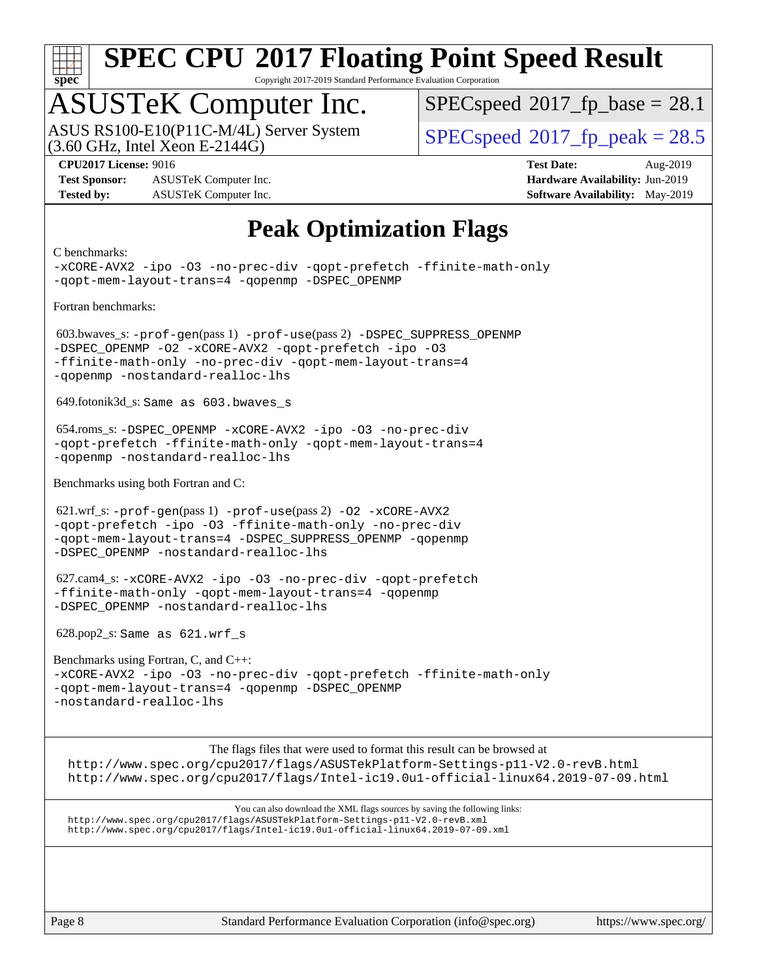

Copyright 2017-2019 Standard Performance Evaluation Corporation

## ASUSTeK Computer Inc.

 $(3.60$  GHz, Intel Xeon E-2144G) ASUS RS100-E10(P11C-M/4L) Server System  $SPECspeed@2017$  $SPECspeed@2017$  fp\_peak = 28.5

 $SPECspeed^{\circledcirc}2017$  $SPECspeed^{\circledcirc}2017$  fp base = 28.1

**[Test Sponsor:](http://www.spec.org/auto/cpu2017/Docs/result-fields.html#TestSponsor)** ASUSTeK Computer Inc. **[Hardware Availability:](http://www.spec.org/auto/cpu2017/Docs/result-fields.html#HardwareAvailability)** Jun-2019 **[Tested by:](http://www.spec.org/auto/cpu2017/Docs/result-fields.html#Testedby)** ASUSTeK Computer Inc. **[Software Availability:](http://www.spec.org/auto/cpu2017/Docs/result-fields.html#SoftwareAvailability)** May-2019

**[CPU2017 License:](http://www.spec.org/auto/cpu2017/Docs/result-fields.html#CPU2017License)** 9016 **[Test Date:](http://www.spec.org/auto/cpu2017/Docs/result-fields.html#TestDate)** Aug-2019

### **[Peak Optimization Flags](http://www.spec.org/auto/cpu2017/Docs/result-fields.html#PeakOptimizationFlags)**

#### [C benchmarks:](http://www.spec.org/auto/cpu2017/Docs/result-fields.html#Cbenchmarks) [-xCORE-AVX2](http://www.spec.org/cpu2017/results/res2019q3/cpu2017-20190826-17250.flags.html#user_CCpeak_f-xCORE-AVX2) [-ipo](http://www.spec.org/cpu2017/results/res2019q3/cpu2017-20190826-17250.flags.html#user_CCpeak_f-ipo) [-O3](http://www.spec.org/cpu2017/results/res2019q3/cpu2017-20190826-17250.flags.html#user_CCpeak_f-O3) [-no-prec-div](http://www.spec.org/cpu2017/results/res2019q3/cpu2017-20190826-17250.flags.html#user_CCpeak_f-no-prec-div) [-qopt-prefetch](http://www.spec.org/cpu2017/results/res2019q3/cpu2017-20190826-17250.flags.html#user_CCpeak_f-qopt-prefetch) [-ffinite-math-only](http://www.spec.org/cpu2017/results/res2019q3/cpu2017-20190826-17250.flags.html#user_CCpeak_f_finite_math_only_cb91587bd2077682c4b38af759c288ed7c732db004271a9512da14a4f8007909a5f1427ecbf1a0fb78ff2a814402c6114ac565ca162485bbcae155b5e4258871) [-qopt-mem-layout-trans=4](http://www.spec.org/cpu2017/results/res2019q3/cpu2017-20190826-17250.flags.html#user_CCpeak_f-qopt-mem-layout-trans_fa39e755916c150a61361b7846f310bcdf6f04e385ef281cadf3647acec3f0ae266d1a1d22d972a7087a248fd4e6ca390a3634700869573d231a252c784941a8) [-qopenmp](http://www.spec.org/cpu2017/results/res2019q3/cpu2017-20190826-17250.flags.html#user_CCpeak_qopenmp_16be0c44f24f464004c6784a7acb94aca937f053568ce72f94b139a11c7c168634a55f6653758ddd83bcf7b8463e8028bb0b48b77bcddc6b78d5d95bb1df2967) [-DSPEC\\_OPENMP](http://www.spec.org/cpu2017/results/res2019q3/cpu2017-20190826-17250.flags.html#suite_CCpeak_DSPEC_OPENMP) [Fortran benchmarks](http://www.spec.org/auto/cpu2017/Docs/result-fields.html#Fortranbenchmarks): 603.bwaves\_s: [-prof-gen](http://www.spec.org/cpu2017/results/res2019q3/cpu2017-20190826-17250.flags.html#user_peakPASS1_FFLAGSPASS1_LDFLAGS603_bwaves_s_prof_gen_5aa4926d6013ddb2a31985c654b3eb18169fc0c6952a63635c234f711e6e63dd76e94ad52365559451ec499a2cdb89e4dc58ba4c67ef54ca681ffbe1461d6b36)(pass 1) [-prof-use](http://www.spec.org/cpu2017/results/res2019q3/cpu2017-20190826-17250.flags.html#user_peakPASS2_FFLAGSPASS2_LDFLAGS603_bwaves_s_prof_use_1a21ceae95f36a2b53c25747139a6c16ca95bd9def2a207b4f0849963b97e94f5260e30a0c64f4bb623698870e679ca08317ef8150905d41bd88c6f78df73f19)(pass 2) [-DSPEC\\_SUPPRESS\\_OPENMP](http://www.spec.org/cpu2017/results/res2019q3/cpu2017-20190826-17250.flags.html#suite_peakPASS1_FOPTIMIZE603_bwaves_s_DSPEC_SUPPRESS_OPENMP) [-DSPEC\\_OPENMP](http://www.spec.org/cpu2017/results/res2019q3/cpu2017-20190826-17250.flags.html#suite_peakPASS2_FOPTIMIZE603_bwaves_s_DSPEC_OPENMP) [-O2](http://www.spec.org/cpu2017/results/res2019q3/cpu2017-20190826-17250.flags.html#user_peakPASS1_FOPTIMIZE603_bwaves_s_f-O2) [-xCORE-AVX2](http://www.spec.org/cpu2017/results/res2019q3/cpu2017-20190826-17250.flags.html#user_peakPASS2_FOPTIMIZE603_bwaves_s_f-xCORE-AVX2) [-qopt-prefetch](http://www.spec.org/cpu2017/results/res2019q3/cpu2017-20190826-17250.flags.html#user_peakPASS1_FOPTIMIZEPASS2_FOPTIMIZE603_bwaves_s_f-qopt-prefetch) [-ipo](http://www.spec.org/cpu2017/results/res2019q3/cpu2017-20190826-17250.flags.html#user_peakPASS2_FOPTIMIZE603_bwaves_s_f-ipo) [-O3](http://www.spec.org/cpu2017/results/res2019q3/cpu2017-20190826-17250.flags.html#user_peakPASS2_FOPTIMIZE603_bwaves_s_f-O3) [-ffinite-math-only](http://www.spec.org/cpu2017/results/res2019q3/cpu2017-20190826-17250.flags.html#user_peakPASS1_FOPTIMIZEPASS2_FOPTIMIZE603_bwaves_s_f_finite_math_only_cb91587bd2077682c4b38af759c288ed7c732db004271a9512da14a4f8007909a5f1427ecbf1a0fb78ff2a814402c6114ac565ca162485bbcae155b5e4258871) [-no-prec-div](http://www.spec.org/cpu2017/results/res2019q3/cpu2017-20190826-17250.flags.html#user_peakPASS2_FOPTIMIZE603_bwaves_s_f-no-prec-div) [-qopt-mem-layout-trans=4](http://www.spec.org/cpu2017/results/res2019q3/cpu2017-20190826-17250.flags.html#user_peakPASS1_FOPTIMIZEPASS2_FOPTIMIZE603_bwaves_s_f-qopt-mem-layout-trans_fa39e755916c150a61361b7846f310bcdf6f04e385ef281cadf3647acec3f0ae266d1a1d22d972a7087a248fd4e6ca390a3634700869573d231a252c784941a8) [-qopenmp](http://www.spec.org/cpu2017/results/res2019q3/cpu2017-20190826-17250.flags.html#user_peakPASS2_FOPTIMIZE603_bwaves_s_qopenmp_16be0c44f24f464004c6784a7acb94aca937f053568ce72f94b139a11c7c168634a55f6653758ddd83bcf7b8463e8028bb0b48b77bcddc6b78d5d95bb1df2967) [-nostandard-realloc-lhs](http://www.spec.org/cpu2017/results/res2019q3/cpu2017-20190826-17250.flags.html#user_peakEXTRA_FOPTIMIZE603_bwaves_s_f_2003_std_realloc_82b4557e90729c0f113870c07e44d33d6f5a304b4f63d4c15d2d0f1fab99f5daaed73bdb9275d9ae411527f28b936061aa8b9c8f2d63842963b95c9dd6426b8a) 649.fotonik3d\_s: Same as 603.bwaves\_s 654.roms\_s: [-DSPEC\\_OPENMP](http://www.spec.org/cpu2017/results/res2019q3/cpu2017-20190826-17250.flags.html#suite_peakFOPTIMIZE654_roms_s_DSPEC_OPENMP) [-xCORE-AVX2](http://www.spec.org/cpu2017/results/res2019q3/cpu2017-20190826-17250.flags.html#user_peakFOPTIMIZE654_roms_s_f-xCORE-AVX2) [-ipo](http://www.spec.org/cpu2017/results/res2019q3/cpu2017-20190826-17250.flags.html#user_peakFOPTIMIZE654_roms_s_f-ipo) [-O3](http://www.spec.org/cpu2017/results/res2019q3/cpu2017-20190826-17250.flags.html#user_peakFOPTIMIZE654_roms_s_f-O3) [-no-prec-div](http://www.spec.org/cpu2017/results/res2019q3/cpu2017-20190826-17250.flags.html#user_peakFOPTIMIZE654_roms_s_f-no-prec-div) [-qopt-prefetch](http://www.spec.org/cpu2017/results/res2019q3/cpu2017-20190826-17250.flags.html#user_peakFOPTIMIZE654_roms_s_f-qopt-prefetch) [-ffinite-math-only](http://www.spec.org/cpu2017/results/res2019q3/cpu2017-20190826-17250.flags.html#user_peakFOPTIMIZE654_roms_s_f_finite_math_only_cb91587bd2077682c4b38af759c288ed7c732db004271a9512da14a4f8007909a5f1427ecbf1a0fb78ff2a814402c6114ac565ca162485bbcae155b5e4258871) [-qopt-mem-layout-trans=4](http://www.spec.org/cpu2017/results/res2019q3/cpu2017-20190826-17250.flags.html#user_peakFOPTIMIZE654_roms_s_f-qopt-mem-layout-trans_fa39e755916c150a61361b7846f310bcdf6f04e385ef281cadf3647acec3f0ae266d1a1d22d972a7087a248fd4e6ca390a3634700869573d231a252c784941a8) [-qopenmp](http://www.spec.org/cpu2017/results/res2019q3/cpu2017-20190826-17250.flags.html#user_peakFOPTIMIZE654_roms_s_qopenmp_16be0c44f24f464004c6784a7acb94aca937f053568ce72f94b139a11c7c168634a55f6653758ddd83bcf7b8463e8028bb0b48b77bcddc6b78d5d95bb1df2967) [-nostandard-realloc-lhs](http://www.spec.org/cpu2017/results/res2019q3/cpu2017-20190826-17250.flags.html#user_peakEXTRA_FOPTIMIZE654_roms_s_f_2003_std_realloc_82b4557e90729c0f113870c07e44d33d6f5a304b4f63d4c15d2d0f1fab99f5daaed73bdb9275d9ae411527f28b936061aa8b9c8f2d63842963b95c9dd6426b8a) [Benchmarks using both Fortran and C:](http://www.spec.org/auto/cpu2017/Docs/result-fields.html#BenchmarksusingbothFortranandC) 621.wrf\_s: [-prof-gen](http://www.spec.org/cpu2017/results/res2019q3/cpu2017-20190826-17250.flags.html#user_peakPASS1_CFLAGSPASS1_FFLAGSPASS1_LDFLAGS621_wrf_s_prof_gen_5aa4926d6013ddb2a31985c654b3eb18169fc0c6952a63635c234f711e6e63dd76e94ad52365559451ec499a2cdb89e4dc58ba4c67ef54ca681ffbe1461d6b36)(pass 1) [-prof-use](http://www.spec.org/cpu2017/results/res2019q3/cpu2017-20190826-17250.flags.html#user_peakPASS2_CFLAGSPASS2_FFLAGSPASS2_LDFLAGS621_wrf_s_prof_use_1a21ceae95f36a2b53c25747139a6c16ca95bd9def2a207b4f0849963b97e94f5260e30a0c64f4bb623698870e679ca08317ef8150905d41bd88c6f78df73f19)(pass 2) [-O2](http://www.spec.org/cpu2017/results/res2019q3/cpu2017-20190826-17250.flags.html#user_peakPASS1_COPTIMIZEPASS1_FOPTIMIZE621_wrf_s_f-O2) [-xCORE-AVX2](http://www.spec.org/cpu2017/results/res2019q3/cpu2017-20190826-17250.flags.html#user_peakPASS2_COPTIMIZEPASS2_FOPTIMIZE621_wrf_s_f-xCORE-AVX2) [-qopt-prefetch](http://www.spec.org/cpu2017/results/res2019q3/cpu2017-20190826-17250.flags.html#user_peakPASS1_COPTIMIZEPASS1_FOPTIMIZEPASS2_COPTIMIZEPASS2_FOPTIMIZE621_wrf_s_f-qopt-prefetch) [-ipo](http://www.spec.org/cpu2017/results/res2019q3/cpu2017-20190826-17250.flags.html#user_peakPASS2_COPTIMIZEPASS2_FOPTIMIZE621_wrf_s_f-ipo) [-O3](http://www.spec.org/cpu2017/results/res2019q3/cpu2017-20190826-17250.flags.html#user_peakPASS2_COPTIMIZEPASS2_FOPTIMIZE621_wrf_s_f-O3) [-ffinite-math-only](http://www.spec.org/cpu2017/results/res2019q3/cpu2017-20190826-17250.flags.html#user_peakPASS1_COPTIMIZEPASS1_FOPTIMIZEPASS2_COPTIMIZEPASS2_FOPTIMIZE621_wrf_s_f_finite_math_only_cb91587bd2077682c4b38af759c288ed7c732db004271a9512da14a4f8007909a5f1427ecbf1a0fb78ff2a814402c6114ac565ca162485bbcae155b5e4258871) [-no-prec-div](http://www.spec.org/cpu2017/results/res2019q3/cpu2017-20190826-17250.flags.html#user_peakPASS2_COPTIMIZEPASS2_FOPTIMIZE621_wrf_s_f-no-prec-div) [-qopt-mem-layout-trans=4](http://www.spec.org/cpu2017/results/res2019q3/cpu2017-20190826-17250.flags.html#user_peakPASS1_COPTIMIZEPASS1_FOPTIMIZEPASS2_COPTIMIZEPASS2_FOPTIMIZE621_wrf_s_f-qopt-mem-layout-trans_fa39e755916c150a61361b7846f310bcdf6f04e385ef281cadf3647acec3f0ae266d1a1d22d972a7087a248fd4e6ca390a3634700869573d231a252c784941a8) [-DSPEC\\_SUPPRESS\\_OPENMP](http://www.spec.org/cpu2017/results/res2019q3/cpu2017-20190826-17250.flags.html#suite_peakPASS1_COPTIMIZEPASS1_FOPTIMIZE621_wrf_s_DSPEC_SUPPRESS_OPENMP) [-qopenmp](http://www.spec.org/cpu2017/results/res2019q3/cpu2017-20190826-17250.flags.html#user_peakPASS2_COPTIMIZEPASS2_FOPTIMIZE621_wrf_s_qopenmp_16be0c44f24f464004c6784a7acb94aca937f053568ce72f94b139a11c7c168634a55f6653758ddd83bcf7b8463e8028bb0b48b77bcddc6b78d5d95bb1df2967) [-DSPEC\\_OPENMP](http://www.spec.org/cpu2017/results/res2019q3/cpu2017-20190826-17250.flags.html#suite_peakPASS2_COPTIMIZEPASS2_FOPTIMIZE621_wrf_s_DSPEC_OPENMP) [-nostandard-realloc-lhs](http://www.spec.org/cpu2017/results/res2019q3/cpu2017-20190826-17250.flags.html#user_peakEXTRA_FOPTIMIZE621_wrf_s_f_2003_std_realloc_82b4557e90729c0f113870c07e44d33d6f5a304b4f63d4c15d2d0f1fab99f5daaed73bdb9275d9ae411527f28b936061aa8b9c8f2d63842963b95c9dd6426b8a) 627.cam4\_s: [-xCORE-AVX2](http://www.spec.org/cpu2017/results/res2019q3/cpu2017-20190826-17250.flags.html#user_peakCOPTIMIZEFOPTIMIZE627_cam4_s_f-xCORE-AVX2) [-ipo](http://www.spec.org/cpu2017/results/res2019q3/cpu2017-20190826-17250.flags.html#user_peakCOPTIMIZEFOPTIMIZE627_cam4_s_f-ipo) [-O3](http://www.spec.org/cpu2017/results/res2019q3/cpu2017-20190826-17250.flags.html#user_peakCOPTIMIZEFOPTIMIZE627_cam4_s_f-O3) [-no-prec-div](http://www.spec.org/cpu2017/results/res2019q3/cpu2017-20190826-17250.flags.html#user_peakCOPTIMIZEFOPTIMIZE627_cam4_s_f-no-prec-div) [-qopt-prefetch](http://www.spec.org/cpu2017/results/res2019q3/cpu2017-20190826-17250.flags.html#user_peakCOPTIMIZEFOPTIMIZE627_cam4_s_f-qopt-prefetch) [-ffinite-math-only](http://www.spec.org/cpu2017/results/res2019q3/cpu2017-20190826-17250.flags.html#user_peakCOPTIMIZEFOPTIMIZE627_cam4_s_f_finite_math_only_cb91587bd2077682c4b38af759c288ed7c732db004271a9512da14a4f8007909a5f1427ecbf1a0fb78ff2a814402c6114ac565ca162485bbcae155b5e4258871) [-qopt-mem-layout-trans=4](http://www.spec.org/cpu2017/results/res2019q3/cpu2017-20190826-17250.flags.html#user_peakCOPTIMIZEFOPTIMIZE627_cam4_s_f-qopt-mem-layout-trans_fa39e755916c150a61361b7846f310bcdf6f04e385ef281cadf3647acec3f0ae266d1a1d22d972a7087a248fd4e6ca390a3634700869573d231a252c784941a8) [-qopenmp](http://www.spec.org/cpu2017/results/res2019q3/cpu2017-20190826-17250.flags.html#user_peakCOPTIMIZEFOPTIMIZE627_cam4_s_qopenmp_16be0c44f24f464004c6784a7acb94aca937f053568ce72f94b139a11c7c168634a55f6653758ddd83bcf7b8463e8028bb0b48b77bcddc6b78d5d95bb1df2967) [-DSPEC\\_OPENMP](http://www.spec.org/cpu2017/results/res2019q3/cpu2017-20190826-17250.flags.html#suite_peakCOPTIMIZEFOPTIMIZE627_cam4_s_DSPEC_OPENMP) [-nostandard-realloc-lhs](http://www.spec.org/cpu2017/results/res2019q3/cpu2017-20190826-17250.flags.html#user_peakEXTRA_FOPTIMIZE627_cam4_s_f_2003_std_realloc_82b4557e90729c0f113870c07e44d33d6f5a304b4f63d4c15d2d0f1fab99f5daaed73bdb9275d9ae411527f28b936061aa8b9c8f2d63842963b95c9dd6426b8a) 628.pop2\_s: Same as 621.wrf\_s [Benchmarks using Fortran, C, and C++:](http://www.spec.org/auto/cpu2017/Docs/result-fields.html#BenchmarksusingFortranCandCXX) [-xCORE-AVX2](http://www.spec.org/cpu2017/results/res2019q3/cpu2017-20190826-17250.flags.html#user_CC_CXX_FCpeak_f-xCORE-AVX2) [-ipo](http://www.spec.org/cpu2017/results/res2019q3/cpu2017-20190826-17250.flags.html#user_CC_CXX_FCpeak_f-ipo) [-O3](http://www.spec.org/cpu2017/results/res2019q3/cpu2017-20190826-17250.flags.html#user_CC_CXX_FCpeak_f-O3) [-no-prec-div](http://www.spec.org/cpu2017/results/res2019q3/cpu2017-20190826-17250.flags.html#user_CC_CXX_FCpeak_f-no-prec-div) [-qopt-prefetch](http://www.spec.org/cpu2017/results/res2019q3/cpu2017-20190826-17250.flags.html#user_CC_CXX_FCpeak_f-qopt-prefetch) [-ffinite-math-only](http://www.spec.org/cpu2017/results/res2019q3/cpu2017-20190826-17250.flags.html#user_CC_CXX_FCpeak_f_finite_math_only_cb91587bd2077682c4b38af759c288ed7c732db004271a9512da14a4f8007909a5f1427ecbf1a0fb78ff2a814402c6114ac565ca162485bbcae155b5e4258871) [-qopt-mem-layout-trans=4](http://www.spec.org/cpu2017/results/res2019q3/cpu2017-20190826-17250.flags.html#user_CC_CXX_FCpeak_f-qopt-mem-layout-trans_fa39e755916c150a61361b7846f310bcdf6f04e385ef281cadf3647acec3f0ae266d1a1d22d972a7087a248fd4e6ca390a3634700869573d231a252c784941a8) [-qopenmp](http://www.spec.org/cpu2017/results/res2019q3/cpu2017-20190826-17250.flags.html#user_CC_CXX_FCpeak_qopenmp_16be0c44f24f464004c6784a7acb94aca937f053568ce72f94b139a11c7c168634a55f6653758ddd83bcf7b8463e8028bb0b48b77bcddc6b78d5d95bb1df2967) [-DSPEC\\_OPENMP](http://www.spec.org/cpu2017/results/res2019q3/cpu2017-20190826-17250.flags.html#suite_CC_CXX_FCpeak_DSPEC_OPENMP) [-nostandard-realloc-lhs](http://www.spec.org/cpu2017/results/res2019q3/cpu2017-20190826-17250.flags.html#user_CC_CXX_FCpeak_f_2003_std_realloc_82b4557e90729c0f113870c07e44d33d6f5a304b4f63d4c15d2d0f1fab99f5daaed73bdb9275d9ae411527f28b936061aa8b9c8f2d63842963b95c9dd6426b8a) [The flags files that were used to format this result can be browsed at](tmsearch) <http://www.spec.org/cpu2017/flags/ASUSTekPlatform-Settings-p11-V2.0-revB.html> <http://www.spec.org/cpu2017/flags/Intel-ic19.0u1-official-linux64.2019-07-09.html> [You can also download the XML flags sources by saving the following links:](tmsearch) <http://www.spec.org/cpu2017/flags/ASUSTekPlatform-Settings-p11-V2.0-revB.xml> <http://www.spec.org/cpu2017/flags/Intel-ic19.0u1-official-linux64.2019-07-09.xml>